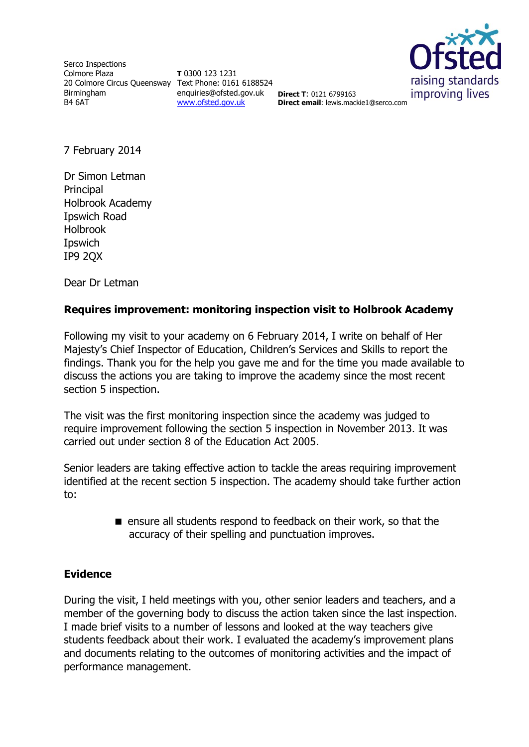Serco Inspections Colmore Plaza 20 Colmore Circus Queensway Text Phone: 0161 6188524 Birmingham B4 6AT

**T** 0300 123 1231 enquiries@ofsted.gov.uk **Direct T**: 0121 6799163 [www.ofsted.gov.uk](http://www.ofsted.gov.uk/)



**Direct email**: lewis.mackie1@serco.com

7 February 2014

Dr Simon Letman **Principal** Holbrook Academy Ipswich Road Holbrook **I**pswich IP9 2QX

Dear Dr Letman

## **Requires improvement: monitoring inspection visit to Holbrook Academy**

Following my visit to your academy on 6 February 2014, I write on behalf of Her Majesty's Chief Inspector of Education, Children's Services and Skills to report the findings. Thank you for the help you gave me and for the time you made available to discuss the actions you are taking to improve the academy since the most recent section 5 inspection.

The visit was the first monitoring inspection since the academy was judged to require improvement following the section 5 inspection in November 2013. It was carried out under section 8 of the Education Act 2005.

Senior leaders are taking effective action to tackle the areas requiring improvement identified at the recent section 5 inspection. The academy should take further action to:

> **E** ensure all students respond to feedback on their work, so that the accuracy of their spelling and punctuation improves.

## **Evidence**

During the visit, I held meetings with you, other senior leaders and teachers, and a member of the governing body to discuss the action taken since the last inspection. I made brief visits to a number of lessons and looked at the way teachers give students feedback about their work. I evaluated the academy's improvement plans and documents relating to the outcomes of monitoring activities and the impact of performance management.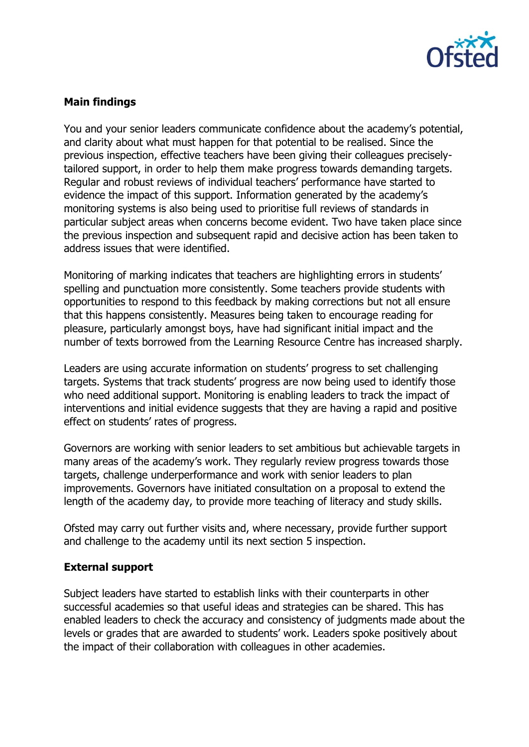

## **Main findings**

You and your senior leaders communicate confidence about the academy's potential, and clarity about what must happen for that potential to be realised. Since the previous inspection, effective teachers have been giving their colleagues preciselytailored support, in order to help them make progress towards demanding targets. Regular and robust reviews of individual teachers' performance have started to evidence the impact of this support. Information generated by the academy's monitoring systems is also being used to prioritise full reviews of standards in particular subject areas when concerns become evident. Two have taken place since the previous inspection and subsequent rapid and decisive action has been taken to address issues that were identified.

Monitoring of marking indicates that teachers are highlighting errors in students' spelling and punctuation more consistently. Some teachers provide students with opportunities to respond to this feedback by making corrections but not all ensure that this happens consistently. Measures being taken to encourage reading for pleasure, particularly amongst boys, have had significant initial impact and the number of texts borrowed from the Learning Resource Centre has increased sharply.

Leaders are using accurate information on students' progress to set challenging targets. Systems that track students' progress are now being used to identify those who need additional support. Monitoring is enabling leaders to track the impact of interventions and initial evidence suggests that they are having a rapid and positive effect on students' rates of progress.

Governors are working with senior leaders to set ambitious but achievable targets in many areas of the academy's work. They regularly review progress towards those targets, challenge underperformance and work with senior leaders to plan improvements. Governors have initiated consultation on a proposal to extend the length of the academy day, to provide more teaching of literacy and study skills.

Ofsted may carry out further visits and, where necessary, provide further support and challenge to the academy until its next section 5 inspection.

## **External support**

Subject leaders have started to establish links with their counterparts in other successful academies so that useful ideas and strategies can be shared. This has enabled leaders to check the accuracy and consistency of judgments made about the levels or grades that are awarded to students' work. Leaders spoke positively about the impact of their collaboration with colleagues in other academies.